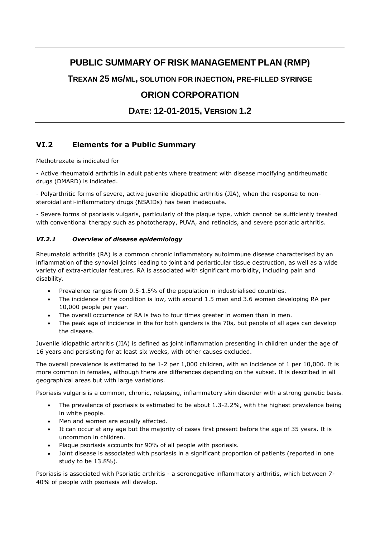# **PUBLIC SUMMARY OF RISK MANAGEMENT PLAN (RMP)**

**TREXAN 25 MG/ML, SOLUTION FOR INJECTION, PRE-FILLED SYRINGE**

## **ORION CORPORATION**

## **DATE: 12-01-2015, VERSION 1.2**

## **VI.2 Elements for a Public Summary**

Methotrexate is indicated for

- Active rheumatoid arthritis in adult patients where treatment with disease modifying antirheumatic drugs (DMARD) is indicated.

- Polyarthritic forms of severe, active juvenile idiopathic arthritis (JIA), when the response to nonsteroidal anti-inflammatory drugs (NSAIDs) has been inadequate.

- Severe forms of psoriasis vulgaris, particularly of the plaque type, which cannot be sufficiently treated with conventional therapy such as phototherapy, PUVA, and retinoids, and severe psoriatic arthritis.

### *VI.2.1 Overview of disease epidemiology*

Rheumatoid arthritis (RA) is a common chronic inflammatory autoimmune disease characterised by an inflammation of the synovial joints leading to joint and periarticular tissue destruction, as well as a wide variety of extra-articular features. RA is associated with significant morbidity, including pain and disability.

- Prevalence ranges from 0.5-1.5% of the population in industrialised countries.
- The incidence of the condition is low, with around 1.5 men and 3.6 women developing RA per 10,000 people per year.
- The overall occurrence of RA is two to four times greater in women than in men.
- The peak age of incidence in the for both genders is the 70s, but people of all ages can develop the disease.

Juvenile idiopathic arthritis (JIA) is defined as joint inflammation presenting in children under the age of 16 years and persisting for at least six weeks, with other causes excluded.

The overall prevalence is estimated to be 1-2 per 1,000 children, with an incidence of 1 per 10,000. It is more common in females, although there are differences depending on the subset. It is described in all geographical areas but with large variations.

Psoriasis vulgaris is a common, chronic, relapsing, inflammatory skin disorder with a strong genetic basis.

- The prevalence of psoriasis is estimated to be about 1.3-2.2%, with the highest prevalence being in white people.
- Men and women are equally affected.
- It can occur at any age but the majority of cases first present before the age of 35 years. It is uncommon in children.
- Plaque psoriasis accounts for 90% of all people with psoriasis.
- Joint disease is associated with psoriasis in a significant proportion of patients (reported in one study to be 13.8%).

Psoriasis is associated with Psoriatic arthritis - a seronegative inflammatory arthritis, which between 7- 40% of people with psoriasis will develop.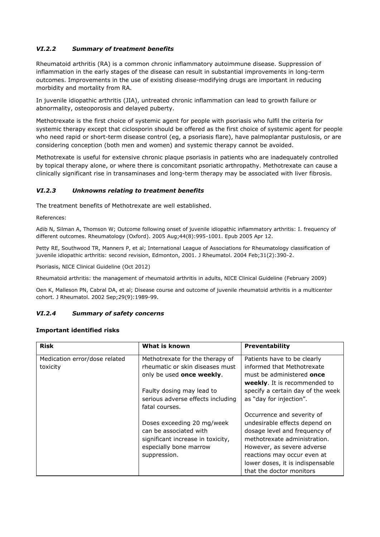## *VI.2.2 Summary of treatment benefits*

Rheumatoid arthritis (RA) is a common chronic inflammatory autoimmune disease. Suppression of inflammation in the early stages of the disease can result in substantial improvements in long-term outcomes. Improvements in the use of existing disease-modifying drugs are important in reducing morbidity and mortality from RA.

In juvenile idiopathic arthritis (JIA), untreated chronic inflammation can lead to growth failure or abnormality, osteoporosis and delayed puberty.

Methotrexate is the first choice of systemic agent for people with psoriasis who fulfil the criteria for systemic therapy except that ciclosporin should be offered as the first choice of systemic agent for people who need rapid or short-term disease control (eg, a psoriasis flare), have palmoplantar pustulosis, or are considering conception (both men and women) and systemic therapy cannot be avoided.

Methotrexate is useful for extensive chronic plaque psoriasis in patients who are inadequately controlled by topical therapy alone, or where there is concomitant psoriatic arthropathy. Methotrexate can cause a clinically significant rise in transaminases and long-term therapy may be associated with liver fibrosis.

#### *VI.2.3 Unknowns relating to treatment benefits*

The treatment benefits of Methotrexate are well established.

References:

Adib N, Silman A, Thomson W; Outcome following onset of juvenile idiopathic inflammatory arthritis: I. frequency of different outcomes. Rheumatology (Oxford). 2005 Aug;44(8):995-1001. Epub 2005 Apr 12.

Petty RE, Southwood TR, Manners P, et al; International League of Associations for Rheumatology classification of juvenile idiopathic arthritis: second revision, Edmonton, 2001. J Rheumatol. 2004 Feb;31(2):390-2.

Psoriasis, NICE Clinical Guideline (Oct 2012)

Rheumatoid arthritis: the management of rheumatoid arthritis in adults, NICE Clinical Guideline (February 2009)

Oen K, Malleson PN, Cabral DA, et al; Disease course and outcome of juvenile rheumatoid arthritis in a multicenter cohort. J Rheumatol. 2002 Sep;29(9):1989-99.

#### *VI.2.4 Summary of safety concerns*

#### **Important identified risks**

| <b>Risk</b>                   | What is known                     | <b>Preventability</b>               |
|-------------------------------|-----------------------------------|-------------------------------------|
| Medication error/dose related | Methotrexate for the therapy of   | Patients have to be clearly         |
| toxicity                      | rheumatic or skin diseases must   | informed that Methotrexate          |
|                               | only be used once weekly.         | must be administered <b>once</b>    |
|                               |                                   | <b>weekly.</b> It is recommended to |
|                               | Faulty dosing may lead to         | specify a certain day of the week   |
|                               | serious adverse effects including | as "day for injection".             |
|                               | fatal courses.                    |                                     |
|                               |                                   | Occurrence and severity of          |
|                               | Doses exceeding 20 mg/week        | undesirable effects depend on       |
|                               | can be associated with            | dosage level and frequency of       |
|                               | significant increase in toxicity, | methotrexate administration.        |
|                               | especially bone marrow            | However, as severe adverse          |
|                               | suppression.                      | reactions may occur even at         |
|                               |                                   | lower doses, it is indispensable    |
|                               |                                   | that the doctor monitors            |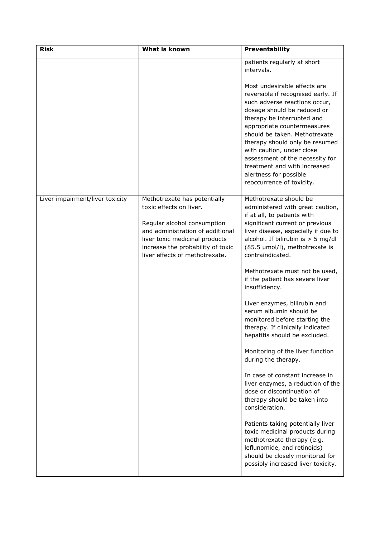| <b>Risk</b>                     | <b>What is known</b>                                                                                                                                                                                                                | Preventability                                                                                                                                                                                                                                                                                                                                                                                                            |
|---------------------------------|-------------------------------------------------------------------------------------------------------------------------------------------------------------------------------------------------------------------------------------|---------------------------------------------------------------------------------------------------------------------------------------------------------------------------------------------------------------------------------------------------------------------------------------------------------------------------------------------------------------------------------------------------------------------------|
|                                 |                                                                                                                                                                                                                                     | patients regularly at short<br>intervals.                                                                                                                                                                                                                                                                                                                                                                                 |
|                                 |                                                                                                                                                                                                                                     | Most undesirable effects are<br>reversible if recognised early. If<br>such adverse reactions occur,<br>dosage should be reduced or<br>therapy be interrupted and<br>appropriate countermeasures<br>should be taken. Methotrexate<br>therapy should only be resumed<br>with caution, under close<br>assessment of the necessity for<br>treatment and with increased<br>alertness for possible<br>reoccurrence of toxicity. |
| Liver impairment/liver toxicity | Methotrexate has potentially<br>toxic effects on liver.<br>Regular alcohol consumption<br>and administration of additional<br>liver toxic medicinal products<br>increase the probability of toxic<br>liver effects of methotrexate. | Methotrexate should be<br>administered with great caution,<br>if at all, to patients with<br>significant current or previous<br>liver disease, especially if due to<br>alcohol. If bilirubin is $>$ 5 mg/dl<br>(85.5 µmol/l), methotrexate is<br>contraindicated.                                                                                                                                                         |
|                                 |                                                                                                                                                                                                                                     | Methotrexate must not be used,<br>if the patient has severe liver<br>insufficiency.                                                                                                                                                                                                                                                                                                                                       |
|                                 |                                                                                                                                                                                                                                     | Liver enzymes, bilirubin and<br>serum albumin should be<br>monitored before starting the<br>therapy. If clinically indicated<br>hepatitis should be excluded.                                                                                                                                                                                                                                                             |
|                                 |                                                                                                                                                                                                                                     | Monitoring of the liver function<br>during the therapy.                                                                                                                                                                                                                                                                                                                                                                   |
|                                 |                                                                                                                                                                                                                                     | In case of constant increase in<br>liver enzymes, a reduction of the<br>dose or discontinuation of<br>therapy should be taken into<br>consideration.                                                                                                                                                                                                                                                                      |
|                                 |                                                                                                                                                                                                                                     | Patients taking potentially liver<br>toxic medicinal products during<br>methotrexate therapy (e.g.<br>leflunomide, and retinoids)<br>should be closely monitored for<br>possibly increased liver toxicity.                                                                                                                                                                                                                |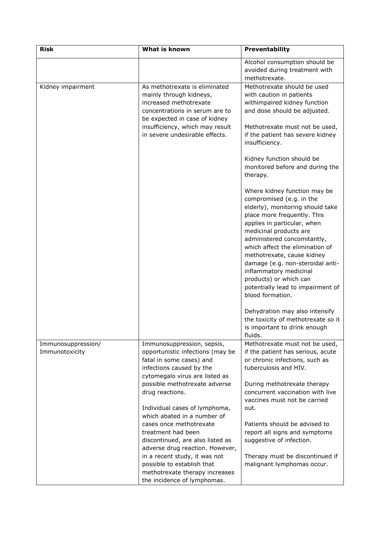| <b>Risk</b>                          | <b>What is known</b>                                                                                                                                     | Preventability                                                                                                                                                                                                                                                                                                                                                                                                                        |
|--------------------------------------|----------------------------------------------------------------------------------------------------------------------------------------------------------|---------------------------------------------------------------------------------------------------------------------------------------------------------------------------------------------------------------------------------------------------------------------------------------------------------------------------------------------------------------------------------------------------------------------------------------|
|                                      |                                                                                                                                                          | Alcohol consumption should be                                                                                                                                                                                                                                                                                                                                                                                                         |
|                                      |                                                                                                                                                          | avoided during treatment with                                                                                                                                                                                                                                                                                                                                                                                                         |
|                                      |                                                                                                                                                          | methotrexate.                                                                                                                                                                                                                                                                                                                                                                                                                         |
| Kidney impairment                    | As methotrexate is eliminated<br>mainly through kidneys,<br>increased methotrexate<br>concentrations in serum are to                                     | Methotrexate should be used<br>with caution in patients<br>withimpaired kidney function<br>and dose should be adjusted.                                                                                                                                                                                                                                                                                                               |
|                                      | be expected in case of kidney<br>insufficiency, which may result<br>in severe undesirable effects.                                                       | Methotrexate must not be used,<br>if the patient has severe kidney<br>insufficiency.                                                                                                                                                                                                                                                                                                                                                  |
|                                      |                                                                                                                                                          | Kidney function should be<br>monitored before and during the<br>therapy.                                                                                                                                                                                                                                                                                                                                                              |
|                                      |                                                                                                                                                          | Where kidney function may be<br>compromised (e.g. in the<br>elderly), monitoring should take<br>place more frequently. This<br>applies in particular, when<br>medicinal products are<br>administered concomitantly,<br>which affect the elimination of<br>methotrexate, cause kidney<br>damage (e.g. non-steroidal anti-<br>inflammatory medicinal<br>products) or which can<br>potentially lead to impairment of<br>blood formation. |
|                                      |                                                                                                                                                          | Dehydration may also intensify<br>the toxicity of methotrexate so it<br>is important to drink enough<br>fluids.                                                                                                                                                                                                                                                                                                                       |
| Immunosuppression/<br>Immunotoxicity | Immunosuppression, sepsis,<br>opportunistic infections (may be<br>fatal in some cases) and<br>infections caused by the<br>cytomegalo virus are listed as | Methotrexate must not be used,<br>if the patient has serious, acute<br>or chronic infections, such as<br>tuberculosis and HIV.                                                                                                                                                                                                                                                                                                        |
|                                      | possible methotrexate adverse<br>drug reactions.                                                                                                         | During methotrexate therapy<br>concurrent vaccination with live<br>vaccines must not be carried                                                                                                                                                                                                                                                                                                                                       |
|                                      | Individual cases of lymphoma,<br>which abated in a number of                                                                                             | out.                                                                                                                                                                                                                                                                                                                                                                                                                                  |
|                                      | cases once methotrexate<br>treatment had been<br>discontinued, are also listed as<br>adverse drug reaction. However,                                     | Patients should be advised to<br>report all signs and symptoms<br>suggestive of infection.                                                                                                                                                                                                                                                                                                                                            |
|                                      | in a recent study, it was not<br>possible to establish that<br>methotrexate therapy increases<br>the incidence of lymphomas.                             | Therapy must be discontinued if<br>malignant lymphomas occur.                                                                                                                                                                                                                                                                                                                                                                         |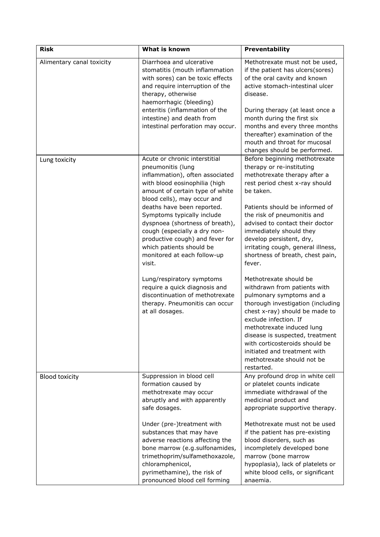| <b>Risk</b>               | What is known                                                                                                                                                                                                                                                                                                                                                                                                                   | Preventability                                                                                                                                                                                                                                                                                                                                                                                        |
|---------------------------|---------------------------------------------------------------------------------------------------------------------------------------------------------------------------------------------------------------------------------------------------------------------------------------------------------------------------------------------------------------------------------------------------------------------------------|-------------------------------------------------------------------------------------------------------------------------------------------------------------------------------------------------------------------------------------------------------------------------------------------------------------------------------------------------------------------------------------------------------|
| Alimentary canal toxicity | Diarrhoea and ulcerative<br>stomatitis (mouth inflammation<br>with sores) can be toxic effects<br>and require interruption of the<br>therapy, otherwise<br>haemorrhagic (bleeding)<br>enteritis (inflammation of the<br>intestine) and death from<br>intestinal perforation may occur.                                                                                                                                          | Methotrexate must not be used,<br>if the patient has ulcers(sores)<br>of the oral cavity and known<br>active stomach-intestinal ulcer<br>disease.<br>During therapy (at least once a<br>month during the first six<br>months and every three months<br>thereafter) examination of the<br>mouth and throat for mucosal<br>changes should be performed.                                                 |
| Lung toxicity             | Acute or chronic interstitial<br>pneumonitis (lung<br>inflammation), often associated<br>with blood eosinophilia (high<br>amount of certain type of white<br>blood cells), may occur and<br>deaths have been reported.<br>Symptoms typically include<br>dyspnoea (shortness of breath),<br>cough (especially a dry non-<br>productive cough) and fever for<br>which patients should be<br>monitored at each follow-up<br>visit. | Before beginning methotrexate<br>therapy or re-instituting<br>methotrexate therapy after a<br>rest period chest x-ray should<br>be taken.<br>Patients should be informed of<br>the risk of pneumonitis and<br>advised to contact their doctor<br>immediately should they<br>develop persistent, dry,<br>irritating cough, general illness,<br>shortness of breath, chest pain,<br>fever.              |
|                           | Lung/respiratory symptoms<br>require a quick diagnosis and<br>discontinuation of methotrexate<br>therapy. Pneumonitis can occur<br>at all dosages.                                                                                                                                                                                                                                                                              | Methotrexate should be<br>withdrawn from patients with<br>pulmonary symptoms and a<br>thorough investigation (including<br>chest x-ray) should be made to<br>exclude infection. If<br>methotrexate induced lung<br>disease is suspected, treatment<br>with corticosteroids should be<br>initiated and treatment with<br>methotrexate should not be<br>restarted.                                      |
| <b>Blood toxicity</b>     | Suppression in blood cell<br>formation caused by<br>methotrexate may occur<br>abruptly and with apparently<br>safe dosages.<br>Under (pre-)treatment with<br>substances that may have<br>adverse reactions affecting the<br>bone marrow (e.g.sulfonamides,<br>trimethoprim/sulfamethoxazole,<br>chloramphenicol,<br>pyrimethamine), the risk of<br>pronounced blood cell forming                                                | Any profound drop in white cell<br>or platelet counts indicate<br>immediate withdrawal of the<br>medicinal product and<br>appropriate supportive therapy.<br>Methotrexate must not be used<br>if the patient has pre-existing<br>blood disorders, such as<br>incompletely developed bone<br>marrow (bone marrow<br>hypoplasia), lack of platelets or<br>white blood cells, or significant<br>anaemia. |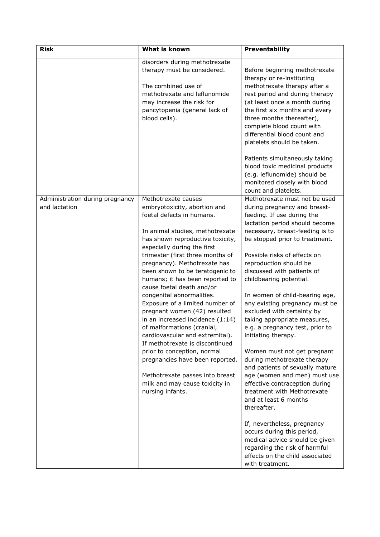| <b>Risk</b>                     | What is known                                                      | Preventability                                             |
|---------------------------------|--------------------------------------------------------------------|------------------------------------------------------------|
|                                 | disorders during methotrexate                                      |                                                            |
|                                 | therapy must be considered.                                        | Before beginning methotrexate                              |
|                                 |                                                                    | therapy or re-instituting                                  |
|                                 | The combined use of                                                | methotrexate therapy after a                               |
|                                 | methotrexate and leflunomide                                       | rest period and during therapy                             |
|                                 | may increase the risk for                                          | (at least once a month during                              |
|                                 | pancytopenia (general lack of                                      | the first six months and every                             |
|                                 | blood cells).                                                      | three months thereafter),                                  |
|                                 |                                                                    | complete blood count with                                  |
|                                 |                                                                    | differential blood count and                               |
|                                 |                                                                    | platelets should be taken.                                 |
|                                 |                                                                    | Patients simultaneously taking                             |
|                                 |                                                                    | blood toxic medicinal products                             |
|                                 |                                                                    | (e.g. leflunomide) should be                               |
|                                 |                                                                    | monitored closely with blood                               |
|                                 |                                                                    | count and platelets.                                       |
| Administration during pregnancy | Methotrexate causes                                                | Methotrexate must not be used                              |
| and lactation                   | embryotoxicity, abortion and                                       | during pregnancy and breast-                               |
|                                 | foetal defects in humans.                                          | feeding. If use during the                                 |
|                                 |                                                                    | lactation period should become                             |
|                                 | In animal studies, methotrexate                                    | necessary, breast-feeding is to                            |
|                                 | has shown reproductive toxicity,                                   | be stopped prior to treatment.                             |
|                                 | especially during the first                                        |                                                            |
|                                 | trimester (first three months of                                   | Possible risks of effects on                               |
|                                 | pregnancy). Methotrexate has                                       | reproduction should be                                     |
|                                 | been shown to be teratogenic to<br>humans; it has been reported to | discussed with patients of<br>childbearing potential.      |
|                                 | cause foetal death and/or                                          |                                                            |
|                                 | congenital abnormalities.                                          | In women of child-bearing age,                             |
|                                 | Exposure of a limited number of                                    | any existing pregnancy must be                             |
|                                 | pregnant women (42) resulted                                       | excluded with certainty by                                 |
|                                 | in an increased incidence (1:14)                                   | taking appropriate measures,                               |
|                                 | of malformations (cranial,                                         | e.g. a pregnancy test, prior to                            |
|                                 | cardiovascular and extremital).                                    | initiating therapy.                                        |
|                                 | If methotrexate is discontinued                                    |                                                            |
|                                 | prior to conception, normal<br>pregnancies have been reported.     | Women must not get pregnant<br>during methotrexate therapy |
|                                 |                                                                    | and patients of sexually mature                            |
|                                 | Methotrexate passes into breast                                    | age (women and men) must use                               |
|                                 | milk and may cause toxicity in                                     | effective contraception during                             |
|                                 | nursing infants.                                                   | treatment with Methotrexate                                |
|                                 |                                                                    | and at least 6 months                                      |
|                                 |                                                                    | thereafter.                                                |
|                                 |                                                                    | If, nevertheless, pregnancy                                |
|                                 |                                                                    | occurs during this period,                                 |
|                                 |                                                                    | medical advice should be given                             |
|                                 |                                                                    | regarding the risk of harmful                              |
|                                 |                                                                    | effects on the child associated                            |
|                                 |                                                                    | with treatment.                                            |